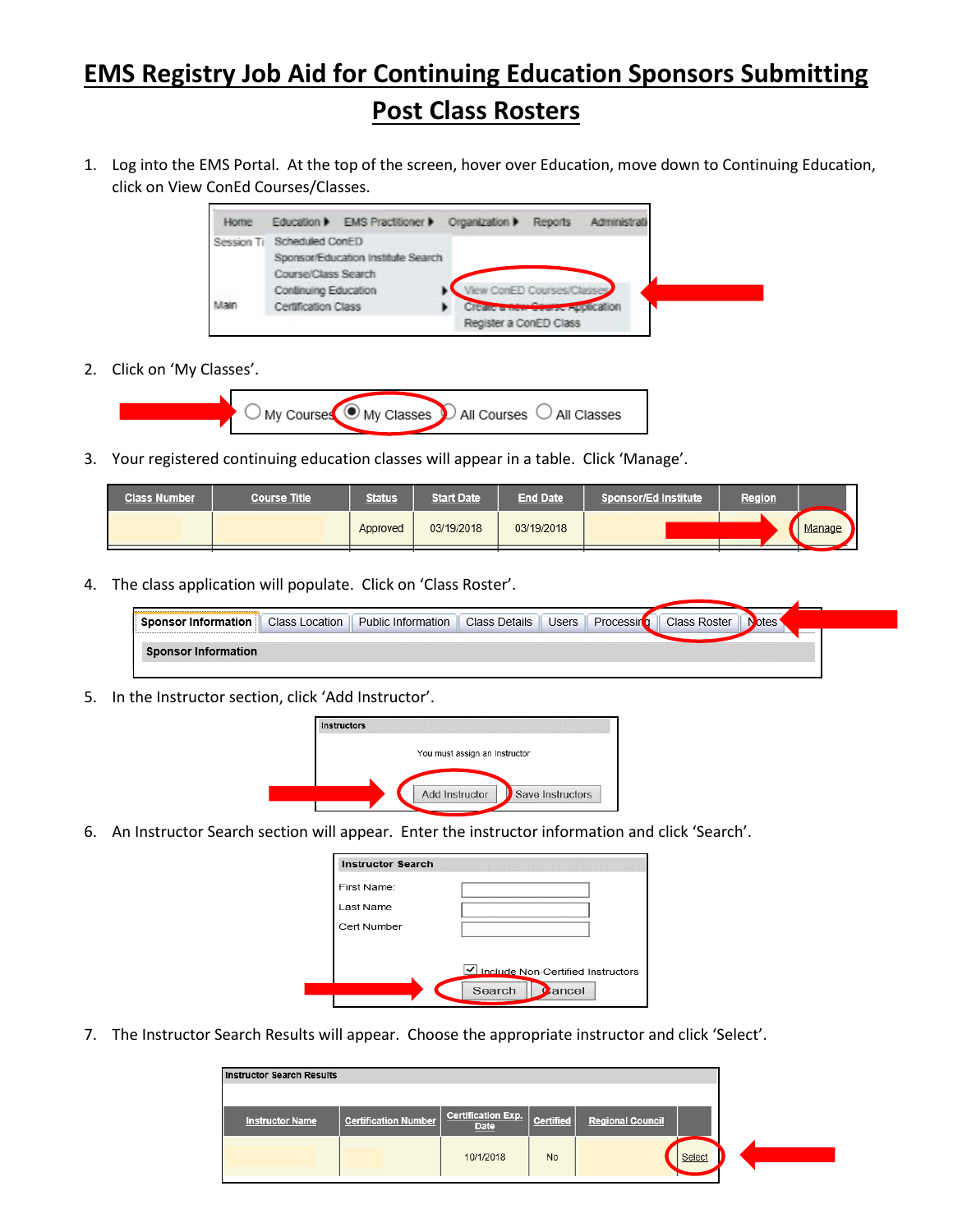## **EMS Registry Job Aid for Continuing Education Sponsors Submitting Post Class Rosters**

1. Log into the EMS Portal. At the top of the screen, hover over Education, move down to Continuing Education, click on View ConEd Courses/Classes.



2. Click on 'My Classes'.



3. Your registered continuing education classes will appear in a table. Click 'Manage'.

| <b>Class Number</b> | <b>Course Title</b> | <b>Status</b> | <b>Start Date</b> | <b>End Date</b> | Sponsor/Ed Institute | Region |        |
|---------------------|---------------------|---------------|-------------------|-----------------|----------------------|--------|--------|
|                     |                     | Approved      | 03/19/2018        | 03/19/2018      |                      |        | Manage |

4. The class application will populate. Click on 'Class Roster'.

| --------------------------------<br>Sponsor Information                    | <b>Class Location</b> | <b>Public Information</b> | <b>Class Details</b> | <b>Users</b> | Processin | Class Roster | pres |  |
|----------------------------------------------------------------------------|-----------------------|---------------------------|----------------------|--------------|-----------|--------------|------|--|
|                                                                            |                       |                           |                      |              |           |              |      |  |
| <b>Sponsor Information</b><br>on the control of the control of the control |                       |                           |                      |              |           |              |      |  |

5. In the Instructor section, click 'Add Instructor'.

| <b>Instructors</b> |                               |  |
|--------------------|-------------------------------|--|
|                    | You must assign an Instructor |  |
|                    |                               |  |
|                    |                               |  |

6. An Instructor Search section will appear. Enter the instructor information and click 'Search'.

| <b>Instructor Search</b> |                                   |
|--------------------------|-----------------------------------|
| First Name:              |                                   |
| Last Name                |                                   |
| Cert Number              |                                   |
|                          |                                   |
|                          | Include Non-Certified Instructors |
|                          | Search<br>ancel                   |

7. The Instructor Search Results will appear. Choose the appropriate instructor and click 'Select'.

| Certification Exp.   Certified<br><b>Certification Number</b><br><b>Instructor Name</b><br><b>Regional Council</b><br>Date |
|----------------------------------------------------------------------------------------------------------------------------|
|                                                                                                                            |
|                                                                                                                            |
| Select<br>10/1/2018<br><b>No</b>                                                                                           |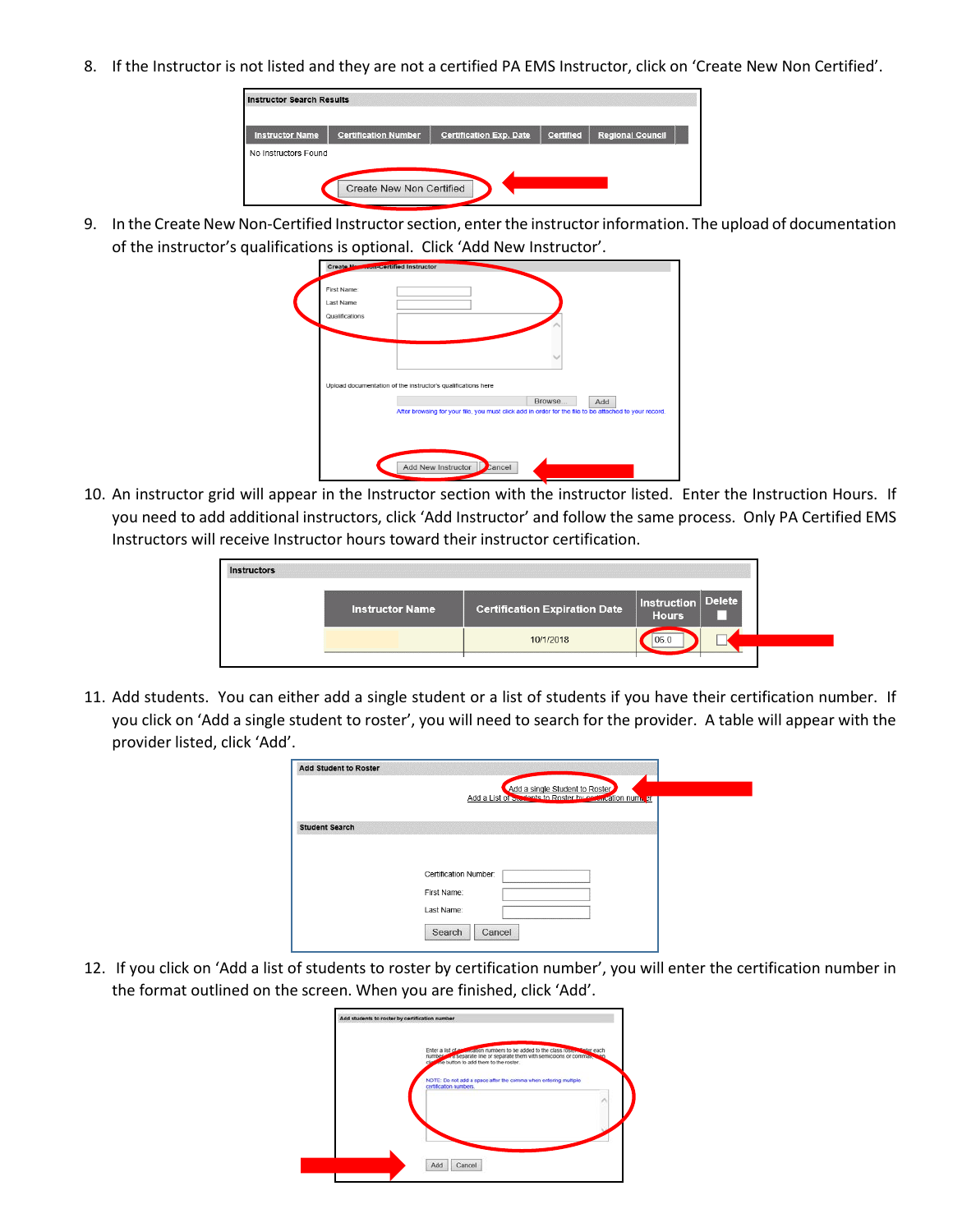8. If the Instructor is not listed and they are not a certified PA EMS Instructor, click on 'Create New Non Certified'.

| <b>Instructor Search Results</b> |                                 |                                |                  |                         |  |
|----------------------------------|---------------------------------|--------------------------------|------------------|-------------------------|--|
| <b>Instructor Name</b>           | <b>Certification Number</b>     | <b>Certification Exp. Date</b> | <b>Certified</b> | <b>Regional Council</b> |  |
| No Instructors Found             |                                 |                                |                  |                         |  |
|                                  |                                 |                                |                  |                         |  |
|                                  | <b>Create New Non Certified</b> |                                |                  |                         |  |

9. In the Create New Non-Certified Instructor section, enter the instructor information. The upload of documentation of the instructor's qualifications is optional. Click 'Add New Instructor'.



10. An instructor grid will appear in the Instructor section with the instructor listed. Enter the Instruction Hours. If you need to add additional instructors, click 'Add Instructor' and follow the same process. Only PA Certified EMS Instructors will receive Instructor hours toward their instructor certification.

| <b>Instructors</b> |                        |                                      |                                    |  |
|--------------------|------------------------|--------------------------------------|------------------------------------|--|
|                    | <b>Instructor Name</b> | <b>Certification Expiration Date</b> | Instruction Delete<br><b>Hours</b> |  |
|                    |                        | 10/1/2018                            | 06.0                               |  |
|                    |                        |                                      |                                    |  |

11. Add students. You can either add a single student or a list of students if you have their certification number. If you click on 'Add a single student to roster', you will need to search for the provider. A table will appear with the provider listed, click 'Add'.

|                       | Add a single Student to Roster                           |
|-----------------------|----------------------------------------------------------|
|                       | Add a List of Sterlents to Roster by codification number |
| <b>Student Search</b> |                                                          |
|                       |                                                          |
|                       |                                                          |
|                       |                                                          |
|                       | Certification Number:                                    |
|                       | First Name:                                              |
|                       | Last Name:                                               |
|                       |                                                          |
|                       |                                                          |

12. If you click on 'Add a list of students to roster by certification number', you will enter the certification number in the format outlined on the screen. When you are finished, click 'Add'.